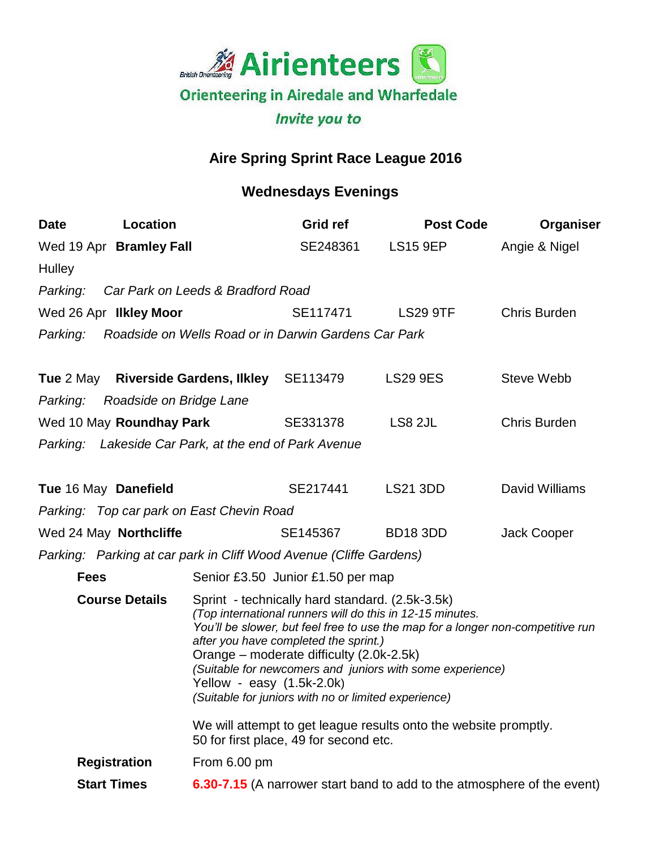

## **Aire Spring Sprint Race League 2016**

## **Wednesdays Evenings**

| <b>Date</b>                                                        | <b>Location</b>                  |                                                                                                                                                                                                                                                                                                                                                                                                                                          | Grid ref                                                      | <b>Post Code</b> | Organiser           |
|--------------------------------------------------------------------|----------------------------------|------------------------------------------------------------------------------------------------------------------------------------------------------------------------------------------------------------------------------------------------------------------------------------------------------------------------------------------------------------------------------------------------------------------------------------------|---------------------------------------------------------------|------------------|---------------------|
|                                                                    | Wed 19 Apr Bramley Fall          |                                                                                                                                                                                                                                                                                                                                                                                                                                          | SE248361                                                      | LS15 9EP         | Angie & Nigel       |
| <b>Hulley</b>                                                      |                                  |                                                                                                                                                                                                                                                                                                                                                                                                                                          |                                                               |                  |                     |
| Parking:                                                           |                                  | Car Park on Leeds & Bradford Road                                                                                                                                                                                                                                                                                                                                                                                                        |                                                               |                  |                     |
|                                                                    | Wed 26 Apr IIkley Moor           |                                                                                                                                                                                                                                                                                                                                                                                                                                          | SE117471                                                      | <b>LS29 9TF</b>  | <b>Chris Burden</b> |
|                                                                    |                                  |                                                                                                                                                                                                                                                                                                                                                                                                                                          | Parking: Roadside on Wells Road or in Darwin Gardens Car Park |                  |                     |
|                                                                    |                                  | Tue 2 May Riverside Gardens, Ilkley SE113479                                                                                                                                                                                                                                                                                                                                                                                             |                                                               | <b>LS29 9ES</b>  | <b>Steve Webb</b>   |
|                                                                    | Parking: Roadside on Bridge Lane |                                                                                                                                                                                                                                                                                                                                                                                                                                          |                                                               |                  |                     |
| Wed 10 May Roundhay Park                                           |                                  |                                                                                                                                                                                                                                                                                                                                                                                                                                          | SE331378                                                      | LS8 2JL          | <b>Chris Burden</b> |
|                                                                    |                                  | Parking: Lakeside Car Park, at the end of Park Avenue                                                                                                                                                                                                                                                                                                                                                                                    |                                                               |                  |                     |
|                                                                    | Tue 16 May Danefield             |                                                                                                                                                                                                                                                                                                                                                                                                                                          | SE217441                                                      | <b>LS21 3DD</b>  | David Williams      |
|                                                                    |                                  | Parking: Top car park on East Chevin Road                                                                                                                                                                                                                                                                                                                                                                                                |                                                               |                  |                     |
|                                                                    | Wed 24 May Northcliffe           |                                                                                                                                                                                                                                                                                                                                                                                                                                          | SE145367                                                      | <b>BD18 3DD</b>  | Jack Cooper         |
| Parking: Parking at car park in Cliff Wood Avenue (Cliffe Gardens) |                                  |                                                                                                                                                                                                                                                                                                                                                                                                                                          |                                                               |                  |                     |
| <b>Fees</b>                                                        |                                  |                                                                                                                                                                                                                                                                                                                                                                                                                                          | Senior £3.50 Junior £1.50 per map                             |                  |                     |
| <b>Course Details</b>                                              |                                  | Sprint - technically hard standard. (2.5k-3.5k)<br>(Top international runners will do this in 12-15 minutes.<br>You'll be slower, but feel free to use the map for a longer non-competitive run<br>after you have completed the sprint.)<br>Orange – moderate difficulty (2.0k-2.5k)<br>(Suitable for newcomers and juniors with some experience)<br>Yellow - easy $(1.5k-2.0k)$<br>(Suitable for juniors with no or limited experience) |                                                               |                  |                     |
|                                                                    |                                  | We will attempt to get league results onto the website promptly.<br>50 for first place, 49 for second etc.                                                                                                                                                                                                                                                                                                                               |                                                               |                  |                     |
|                                                                    | <b>Registration</b>              | From 6.00 pm                                                                                                                                                                                                                                                                                                                                                                                                                             |                                                               |                  |                     |
| <b>Start Times</b>                                                 |                                  | <b>6.30-7.15</b> (A narrower start band to add to the atmosphere of the event)                                                                                                                                                                                                                                                                                                                                                           |                                                               |                  |                     |